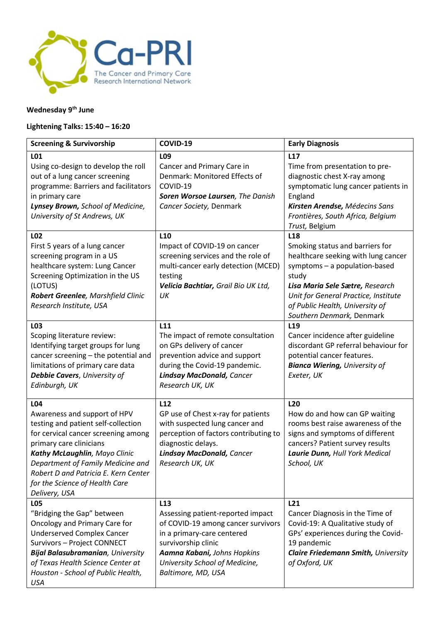

## **Wednesday 9 th June**

## **Lightening Talks: 15:40 – 16:20**

| <b>Screening &amp; Survivorship</b>                                                                                                                                                                                                                                                                           | COVID-19                                                                                                                                                                                                                               | <b>Early Diagnosis</b>                                                                                                                                                                                                                                                         |
|---------------------------------------------------------------------------------------------------------------------------------------------------------------------------------------------------------------------------------------------------------------------------------------------------------------|----------------------------------------------------------------------------------------------------------------------------------------------------------------------------------------------------------------------------------------|--------------------------------------------------------------------------------------------------------------------------------------------------------------------------------------------------------------------------------------------------------------------------------|
| L01                                                                                                                                                                                                                                                                                                           | L <sub>09</sub>                                                                                                                                                                                                                        | L17                                                                                                                                                                                                                                                                            |
| Using co-design to develop the roll<br>out of a lung cancer screening<br>programme: Barriers and facilitators<br>in primary care<br>Lynsey Brown, School of Medicine,<br>University of St Andrews, UK                                                                                                         | Cancer and Primary Care in<br>Denmark: Monitored Effects of<br>COVID-19<br>Soren Worsoe Laursen, The Danish<br>Cancer Society, Denmark                                                                                                 | Time from presentation to pre-<br>diagnostic chest X-ray among<br>symptomatic lung cancer patients in<br>England<br>Kirsten Arendse, Médecins Sans<br>Frontières, South Africa, Belgium<br>Trust, Belgium                                                                      |
| L02<br>First 5 years of a lung cancer<br>screening program in a US<br>healthcare system: Lung Cancer<br>Screening Optimization in the US<br>(LOTUS)<br>Robert Greenlee, Marshfield Clinic<br>Research Institute, USA                                                                                          | L <sub>10</sub><br>Impact of COVID-19 on cancer<br>screening services and the role of<br>multi-cancer early detection (MCED)<br>testing<br>Velicia Bachtiar, Grail Bio UK Ltd,<br>UK                                                   | L <sub>18</sub><br>Smoking status and barriers for<br>healthcare seeking with lung cancer<br>symptoms - a population-based<br>study<br>Lisa Maria Sele Sætre, Research<br>Unit for General Practice, Institute<br>of Public Health, University of<br>Southern Denmark, Denmark |
| L03<br>Scoping literature review:<br>Identifying target groups for lung<br>cancer screening - the potential and<br>limitations of primary care data<br>Debbie Cavers, University of<br>Edinburgh, UK                                                                                                          | L11<br>The impact of remote consultation<br>on GPs delivery of cancer<br>prevention advice and support<br>during the Covid-19 pandemic.<br><b>Lindsay MacDonald, Cancer</b><br>Research UK, UK                                         | L <sub>19</sub><br>Cancer incidence after guideline<br>discordant GP referral behaviour for<br>potential cancer features.<br><b>Bianca Wiering, University of</b><br>Exeter, UK                                                                                                |
| L04<br>Awareness and support of HPV<br>testing and patient self-collection<br>for cervical cancer screening among<br>primary care clinicians<br>Kathy McLaughlin, Mayo Clinic<br>Department of Family Medicine and<br>Robert D and Patricia E. Kern Center<br>for the Science of Health Care<br>Delivery, USA | L12<br>GP use of Chest x-ray for patients<br>with suspected lung cancer and<br>perception of factors contributing to<br>diagnostic delays.<br><b>Lindsay MacDonald, Cancer</b><br>Research UK, UK                                      | L <sub>20</sub><br>How do and how can GP waiting<br>rooms best raise awareness of the<br>signs and symptoms of different<br>cancers? Patient survey results<br>Laurie Dunn, Hull York Medical<br>School, UK                                                                    |
| L05<br>"Bridging the Gap" between<br>Oncology and Primary Care for<br><b>Underserved Complex Cancer</b><br>Survivors - Project CONNECT<br><b>Bijal Balasubramanian</b> , University<br>of Texas Health Science Center at<br>Houston - School of Public Health,<br><b>USA</b>                                  | L <sub>13</sub><br>Assessing patient-reported impact<br>of COVID-19 among cancer survivors<br>in a primary-care centered<br>survivorship clinic<br>Aamna Kabani, Johns Hopkins<br>University School of Medicine,<br>Baltimore, MD, USA | L <sub>21</sub><br>Cancer Diagnosis in the Time of<br>Covid-19: A Qualitative study of<br>GPs' experiences during the Covid-<br>19 pandemic<br><b>Claire Friedemann Smith, University</b><br>of Oxford, UK                                                                     |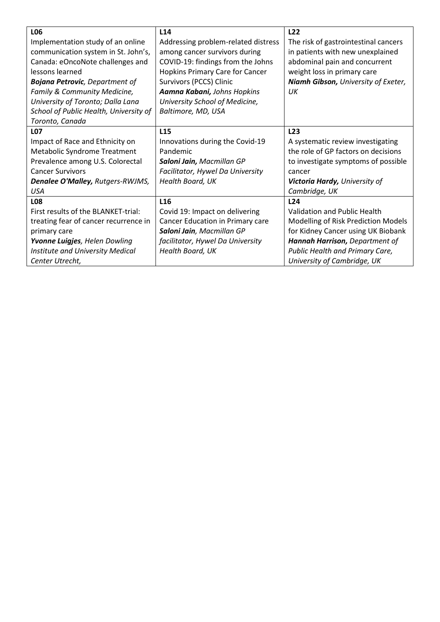| L06                                    | L <sub>14</sub>                     | L22                                  |
|----------------------------------------|-------------------------------------|--------------------------------------|
| Implementation study of an online      | Addressing problem-related distress | The risk of gastrointestinal cancers |
| communication system in St. John's,    | among cancer survivors during       | in patients with new unexplained     |
| Canada: eOncoNote challenges and       | COVID-19: findings from the Johns   | abdominal pain and concurrent        |
| lessons learned                        | Hopkins Primary Care for Cancer     | weight loss in primary care          |
| <b>Bojana Petrovic</b> , Department of | Survivors (PCCS) Clinic             | Niamh Gibson, University of Exeter,  |
| Family & Community Medicine,           | Aamna Kabani, Johns Hopkins         | UК                                   |
| University of Toronto; Dalla Lana      | University School of Medicine,      |                                      |
| School of Public Health, University of | Baltimore, MD, USA                  |                                      |
| Toronto, Canada                        |                                     |                                      |
| <b>LO7</b>                             | L <sub>15</sub>                     | L23                                  |
| Impact of Race and Ethnicity on        | Innovations during the Covid-19     | A systematic review investigating    |
| Metabolic Syndrome Treatment           | Pandemic                            | the role of GP factors on decisions  |
| Prevalence among U.S. Colorectal       | Saloni Jain, Macmillan GP           | to investigate symptoms of possible  |
| <b>Cancer Survivors</b>                | Facilitator, Hywel Da University    | cancer                               |
| Denalee O'Malley, Rutgers-RWJMS,       | Health Board, UK                    | Victoria Hardy, University of        |
| <b>USA</b>                             |                                     | Cambridge, UK                        |
| <b>LO8</b>                             | L <sub>16</sub>                     | L24                                  |
| First results of the BLANKET-trial:    | Covid 19: Impact on delivering      | Validation and Public Health         |
| treating fear of cancer recurrence in  | Cancer Education in Primary care    | Modelling of Risk Prediction Models  |
| primary care                           | Saloni Jain, Macmillan GP           | for Kidney Cancer using UK Biobank   |
| Yvonne Luigjes, Helen Dowling          | facilitator, Hywel Da University    | Hannah Harrison, Department of       |
| Institute and University Medical       | Health Board, UK                    | Public Health and Primary Care,      |
| Center Utrecht,                        |                                     | University of Cambridge, UK          |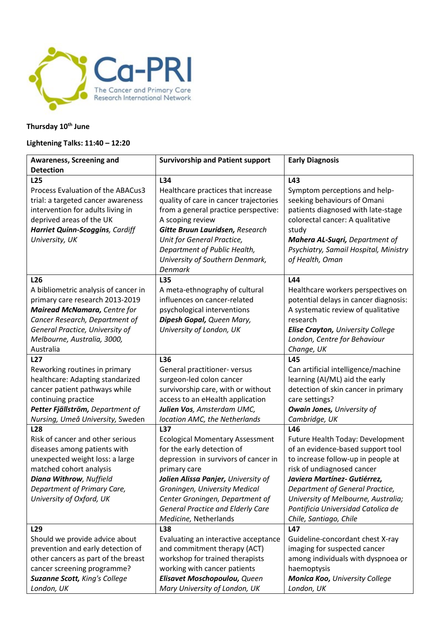

## **Thursday 10th June**

## **Lightening Talks: 11:40 – 12:20**

| Awareness, Screening and                                                                                                                                                                                                                           | <b>Survivorship and Patient support</b>                                                                                                                                                                                                                                                                             | <b>Early Diagnosis</b>                                                                                                                                                                                                                                                                                                     |
|----------------------------------------------------------------------------------------------------------------------------------------------------------------------------------------------------------------------------------------------------|---------------------------------------------------------------------------------------------------------------------------------------------------------------------------------------------------------------------------------------------------------------------------------------------------------------------|----------------------------------------------------------------------------------------------------------------------------------------------------------------------------------------------------------------------------------------------------------------------------------------------------------------------------|
| <b>Detection</b>                                                                                                                                                                                                                                   |                                                                                                                                                                                                                                                                                                                     |                                                                                                                                                                                                                                                                                                                            |
| L <sub>25</sub><br>Process Evaluation of the ABACus3<br>trial: a targeted cancer awareness<br>intervention for adults living in<br>deprived areas of the UK<br>Harriet Quinn-Scoggins, Cardiff<br>University, UK                                   | L34<br>Healthcare practices that increase<br>quality of care in cancer trajectories<br>from a general practice perspective:<br>A scoping review<br>Gitte Bruun Lauridsen, Research<br>Unit for General Practice,<br>Department of Public Health,<br>University of Southern Denmark,<br><b>Denmark</b>               | L43<br>Symptom perceptions and help-<br>seeking behaviours of Omani<br>patients diagnosed with late-stage<br>colorectal cancer: A qualitative<br>study<br>Mahera AL-Suqri, Department of<br>Psychiatry, Samail Hospital, Ministry<br>of Health, Oman                                                                       |
| L <sub>26</sub><br>A bibliometric analysis of cancer in<br>primary care research 2013-2019<br><b>Mairead McNamara, Centre for</b><br>Cancer Research, Department of<br>General Practice, University of<br>Melbourne, Australia, 3000,<br>Australia | L35<br>A meta-ethnography of cultural<br>influences on cancer-related<br>psychological interventions<br>Dipesh Gopal, Queen Mary,<br>University of London, UK                                                                                                                                                       | L44<br>Healthcare workers perspectives on<br>potential delays in cancer diagnosis:<br>A systematic review of qualitative<br>research<br>Elise Crayton, University College<br>London, Centre for Behaviour<br>Change, UK                                                                                                    |
| <b>L27</b><br>Reworking routines in primary<br>healthcare: Adapting standarized<br>cancer patient pathways while<br>continuing practice<br>Petter Fjällström, Department of<br>Nursing, Umeå University, Sweden                                    | L36<br>General practitioner- versus<br>surgeon-led colon cancer<br>survivorship care, with or without<br>access to an eHealth application<br>Julien Vos, Amsterdam UMC,<br>location AMC, the Netherlands                                                                                                            | L45<br>Can artificial intelligence/machine<br>learning (AI/ML) aid the early<br>detection of skin cancer in primary<br>care settings?<br><b>Owain Jones, University of</b><br>Cambridge, UK                                                                                                                                |
| <b>L28</b><br>Risk of cancer and other serious<br>diseases among patients with<br>unexpected weight loss: a large<br>matched cohort analysis<br><b>Diana Withrow, Nuffield</b><br>Department of Primary Care,<br>University of Oxford, UK          | L37<br><b>Ecological Momentary Assessment</b><br>for the early detection of<br>depression in survivors of cancer in<br>primary care<br>Jolien Alissa Panjer, University of<br>Groningen, University Medical<br>Center Groningen, Department of<br><b>General Practice and Elderly Care</b><br>Medicine, Netherlands | L46<br>Future Health Today: Development<br>of an evidence-based support tool<br>to increase follow-up in people at<br>risk of undiagnosed cancer<br>Javiera Martínez- Gutiérrez,<br>Department of General Practice,<br>University of Melbourne, Australia;<br>Pontificia Universidad Catolica de<br>Chile, Santiago, Chile |
| L <sub>29</sub><br>Should we provide advice about<br>prevention and early detection of<br>other cancers as part of the breast<br>cancer screening programme?<br>Suzanne Scott, King's College<br>London, UK                                        | L38<br>Evaluating an interactive acceptance<br>and commitment therapy (ACT)<br>workshop for trained therapists<br>working with cancer patients<br>Elisavet Moschopoulou, Queen<br>Mary University of London, UK                                                                                                     | L47<br>Guideline-concordant chest X-ray<br>imaging for suspected cancer<br>among individuals with dyspnoea or<br>haemoptysis<br>Monica Koo, University College<br>London, UK                                                                                                                                               |